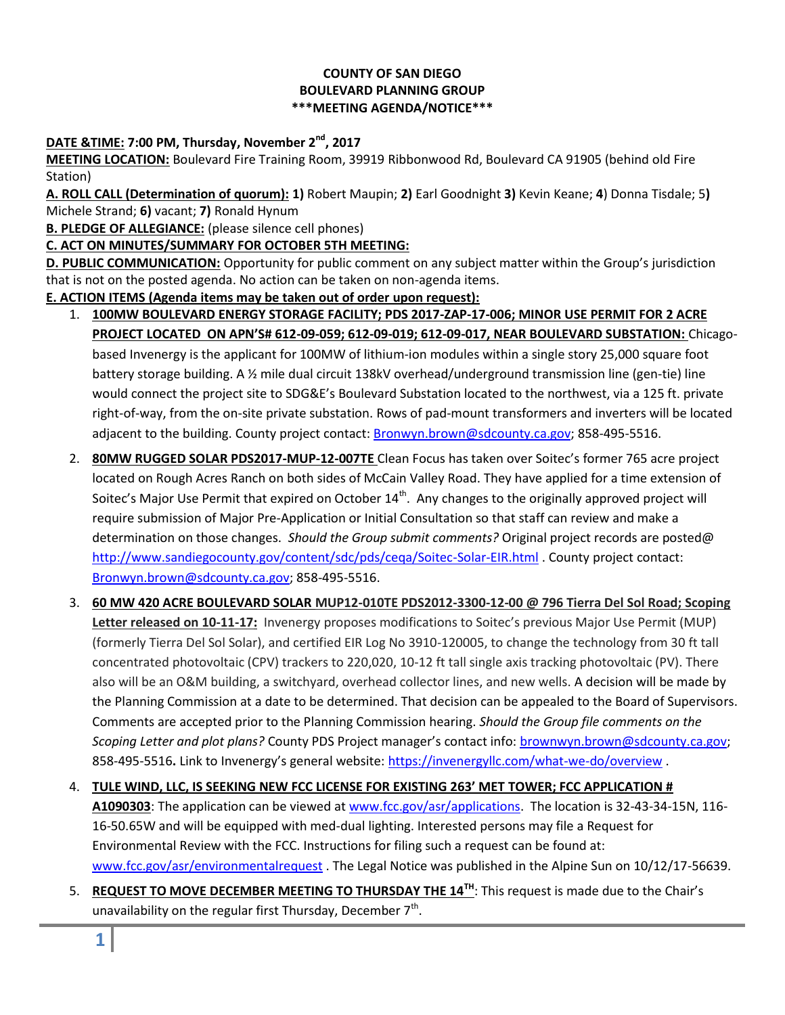### **COUNTY OF SAN DIEGO BOULEVARD PLANNING GROUP \*\*\*MEETING AGENDA/NOTICE\*\*\***

# **DATE &TIME: 7:00 PM, Thursday, November 2nd , 2017**

**MEETING LOCATION:** Boulevard Fire Training Room, 39919 Ribbonwood Rd, Boulevard CA 91905 (behind old Fire Station)

**A. ROLL CALL (Determination of quorum): 1)** Robert Maupin; **2)** Earl Goodnight **3)** Kevin Keane; **4**) Donna Tisdale; 5**)**  Michele Strand; **6)** vacant; **7)** Ronald Hynum

**B. PLEDGE OF ALLEGIANCE:** (please silence cell phones)

# **C. ACT ON MINUTES/SUMMARY FOR OCTOBER 5TH MEETING:**

**D. PUBLIC COMMUNICATION:** Opportunity for public comment on any subject matter within the Group's jurisdiction that is not on the posted agenda. No action can be taken on non-agenda items.

### **E. ACTION ITEMS (Agenda items may be taken out of order upon request):**

- 1. **100MW BOULEVARD ENERGY STORAGE FACILITY; PDS 2017-ZAP-17-006; MINOR USE PERMIT FOR 2 ACRE PROJECT LOCATED ON APN'S# 612-09-059; 612-09-019; 612-09-017, NEAR BOULEVARD SUBSTATION:** Chicagobased Invenergy is the applicant for 100MW of lithium-ion modules within a single story 25,000 square foot battery storage building. A ½ mile dual circuit 138kV overhead/underground transmission line (gen-tie) line would connect the project site to SDG&E's Boulevard Substation located to the northwest, via a 125 ft. private right-of-way, from the on-site private substation. Rows of pad-mount transformers and inverters will be located adjacent to the building. County project contact: [Bronwyn.brown@sdcounty.ca.gov;](mailto:Bronwyn.brown@sdcounty.ca.gov) 858-495-5516.
- 2. **80MW RUGGED SOLAR PDS2017-MUP-12-007TE** Clean Focus has taken over Soitec's former 765 acre project located on Rough Acres Ranch on both sides of McCain Valley Road. They have applied for a time extension of Soitec's Major Use Permit that expired on October 14<sup>th</sup>. Any changes to the originally approved project will require submission of Major Pre-Application or Initial Consultation so that staff can review and make a determination on those changes. *Should the Group submit comments?* Original project records are posted@ <http://www.sandiegocounty.gov/content/sdc/pds/ceqa/Soitec-Solar-EIR.html> . County project contact: [Bronwyn.brown@sdcounty.ca.gov;](mailto:Bronwyn.brown@sdcounty.ca.gov) 858-495-5516.
- 3. **60 MW 420 ACRE BOULEVARD SOLAR MUP12-010TE PDS2012-3300-12-00 @ 796 Tierra Del Sol Road; Scoping Letter released on 10-11-17:** Invenergy proposes modifications to Soitec's previous Major Use Permit (MUP) (formerly Tierra Del Sol Solar), and certified EIR Log No 3910-120005, to change the technology from 30 ft tall concentrated photovoltaic (CPV) trackers to 220,020, 10-12 ft tall single axis tracking photovoltaic (PV). There also will be an O&M building, a switchyard, overhead collector lines, and new wells. A decision will be made by the Planning Commission at a date to be determined. That decision can be appealed to the Board of Supervisors. Comments are accepted prior to the Planning Commission hearing. *Should the Group file comments on the Scoping Letter and plot plans?* County PDS Project manager's contact info: [brownwyn.brown@sdcounty.ca.gov;](mailto:brownwyn.brown@sdcounty.ca.gov) 858-495-5516**.** Link to Invenergy's general website: <https://invenergyllc.com/what-we-do/overview> .
- 4. **TULE WIND, LLC, IS SEEKING NEW FCC LICENSE FOR EXISTING 263' MET TOWER; FCC APPLICATION # A1090303**: The application can be viewed at [www.fcc.gov/asr/applications.](http://www.fcc.gov/asr/applications) The location is 32-43-34-15N, 116- 16-50.65W and will be equipped with med-dual lighting. Interested persons may file a Request for Environmental Review with the FCC. Instructions for filing such a request can be found at: [www.fcc.gov/asr/environmentalrequest](http://www.fcc.gov/asr/environmentalrequest) . The Legal Notice was published in the Alpine Sun on 10/12/17-56639.
- 5. **REQUEST TO MOVE DECEMBER MEETING TO THURSDAY THE 14TH** : This request is made due to the Chair's unavailability on the regular first Thursday, December  $7<sup>th</sup>$ .